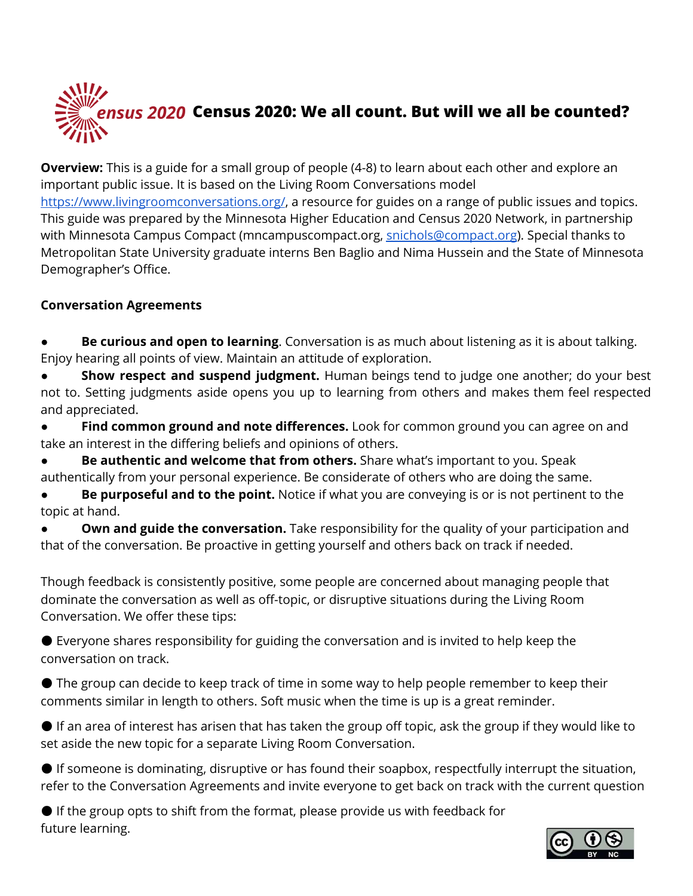

**Overview:** This is a guide for a small group of people (4-8) to learn about each other and explore an important public issue. It is based on the Living Room Conversations model <https://www.livingroomconversations.org/>, a resource for guides on a range of public issues and topics. This guide was prepared by the Minnesota Higher Education and Census 2020 Network, in partnership with Minnesota Campus Compact (mncampuscompact.org, [snichols@compact.org](mailto:snichols@compact.org)). Special thanks to Metropolitan State University graduate interns Ben Baglio and Nima Hussein and the State of Minnesota Demographer's Office.

#### **Conversation Agreements**

- **Be curious and open to learning**. Conversation is as much about listening as it is about talking. Enjoy hearing all points of view. Maintain an attitude of exploration.
- **Show respect and suspend judgment.** Human beings tend to judge one another; do your best not to. Setting judgments aside opens you up to learning from others and makes them feel respected and appreciated.
- **Find common ground and note differences.** Look for common ground you can agree on and take an interest in the differing beliefs and opinions of others.
- **Be authentic and welcome that from others.** Share what's important to you. Speak authentically from your personal experience. Be considerate of others who are doing the same.
- **Be purposeful and to the point.** Notice if what you are conveying is or is not pertinent to the topic at hand.
- **Own and guide the conversation.** Take responsibility for the quality of your participation and that of the conversation. Be proactive in getting yourself and others back on track if needed.
- Though feedback is consistently positive, some people are concerned about managing people that dominate the conversation as well as off-topic, or disruptive situations during the Living Room Conversation. We offer these tips:
- $\bullet$  Everyone shares responsibility for guiding the conversation and is invited to help keep the conversation on track.
- The group can decide to keep track of time in some way to help people remember to keep their comments similar in length to others. Soft music when the time is up is a great reminder.
- If an area of interest has arisen that has taken the group off topic, ask the group if they would like to set aside the new topic for a separate Living Room Conversation.
- If someone is dominating, disruptive or has found their soapbox, respectfully interrupt the situation, refer to the Conversation Agreements and invite everyone to get back on track with the current question
- If the group opts to shift from the format, please provide us with feedback for future learning.

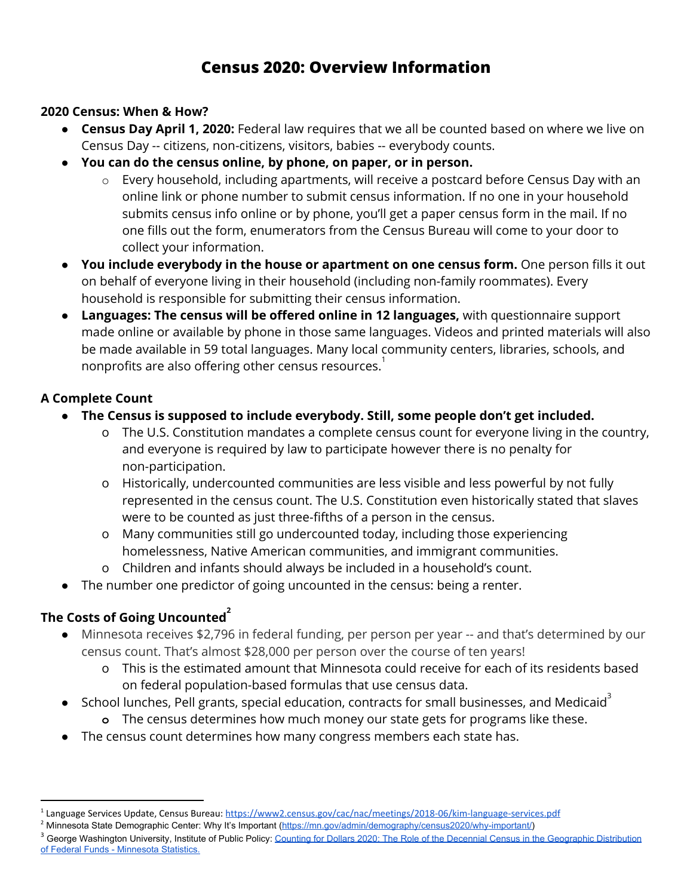# **Census 2020: Overview Information**

## **2020 Census: When & How?**

- **Census Day April 1, 2020:** Federal law requires that we all be counted based on where we live on Census Day -- citizens, non-citizens, visitors, babies -- everybody counts.
- **● You can do the census online, by phone, on paper, or in person.**
	- o Every household, including apartments, will receive a postcard before Census Day with an online link or phone number to submit census information. If no one in your household submits census info online or by phone, you'll get a paper census form in the mail. If no one fills out the form, enumerators from the Census Bureau will come to your door to collect your information.
- **You include everybody in the house or apartment on one census form.** One person fills it out on behalf of everyone living in their household (including non-family roommates). Every household is responsible for submitting their census information.
- **Languages: The census will be offered online in 12 languages,** with questionnaire support made online or available by phone in those same languages. Videos and printed materials will also be made available in 59 total languages. Many local community centers, libraries, schools, and nonprofits are also offering other census resources. $^\text{1}$

## **A Complete Count**

- **● The Census is supposed to include everybody. Still, some people don't get included.**
	- o The U.S. Constitution mandates a complete census count for everyone living in the country, and everyone is required by law to participate however there is no penalty for non-participation.
	- o Historically, undercounted communities are less visible and less powerful by not fully represented in the census count. The U.S. Constitution even historically stated that slaves were to be counted as just three-fifths of a person in the census.
	- o Many communities still go undercounted today, including those experiencing homelessness, Native American communities, and immigrant communities.
	- o Children and infants should always be included in a household's count.
- The number one predictor of going uncounted in the census: being a renter.

## **The Costs of Going Uncounted 2**

- Minnesota receives \$2,796 in federal funding, per person per year -- and that's determined by our census count. That's almost \$28,000 per person over the course of ten years!
	- o This is the estimated amount that Minnesota could receive for each of its residents based on federal population-based formulas that use census data.
- School lunches, Pell grants, special education, contracts for small businesses, and Medicaid<sup>3</sup>
	- **o** The census determines how much money our state gets for programs like these.
- The census count determines how many congress members each state has.

<sup>&</sup>lt;sup>1</sup> Language Services Update, Census Bureau: <https://www2.census.gov/cac/nac/meetings/2018-06/kim-language-services.pdf>

<sup>&</sup>lt;sup>2</sup> Minnesota State Demographic Center: Why It's Important [\(https://mn.gov/admin/demography/census2020/why-important/](https://mn.gov/admin/demography/census2020/why-important/))

<sup>&</sup>lt;sup>3</sup> George Washington University, Institute of Public Policy: Counting for Dollars 2020: The Role of the Decennial Census in the [Geographic](https://gwipp.gwu.edu/sites/g/files/zaxdzs2181/f/downloads/IPP-1819-3%20CountingforDollars_MN.pdf) Distribution of Federal Funds - [Minnesota](https://gwipp.gwu.edu/sites/g/files/zaxdzs2181/f/downloads/IPP-1819-3%20CountingforDollars_MN.pdf) Statistics.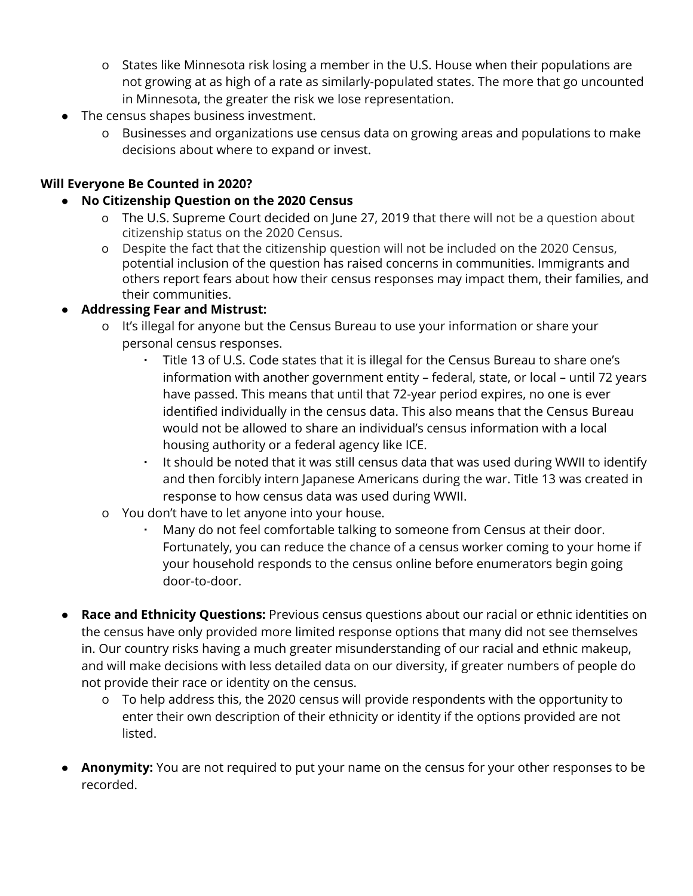- o States like Minnesota risk losing a member in the U.S. House when their populations are not growing at as high of a rate as similarly-populated states. The more that go uncounted in Minnesota, the greater the risk we lose representation.
- The census shapes business investment.
	- o Businesses and organizations use census data on growing areas and populations to make decisions about where to expand or invest.

## **Will Everyone Be Counted in 2020?**

- **● No Citizenship Question on the 2020 Census**
	- o The U.S. Supreme Court decided on June 27, 2019 that there will not be a question about citizenship status on the 2020 Census.
	- o Despite the fact that the citizenship question will not be included on the 2020 Census, potential inclusion of the question has raised concerns in communities. Immigrants and others report fears about how their census responses may impact them, their families, and their communities.

## **● Addressing Fear and Mistrust:**

- o It's illegal for anyone but the Census Bureau to use your information or share your personal census responses.
	- Title 13 of U.S. Code states that it is illegal for the Census Bureau to share one's information with another government entity – federal, state, or local – until 72 years have passed. This means that until that 72-year period expires, no one is ever identified individually in the census data. This also means that the Census Bureau would not be allowed to share an individual's census information with a local housing authority or a federal agency like ICE.
	- It should be noted that it was still census data that was used during WWII to identify and then forcibly intern Japanese Americans during the war. Title 13 was created in response to how census data was used during WWII.
- o You don't have to let anyone into your house.
	- Many do not feel comfortable talking to someone from Census at their door. Fortunately, you can reduce the chance of a census worker coming to your home if your household responds to the census online before enumerators begin going door-to-door.
- **● Race and Ethnicity Questions:** Previous census questions about our racial or ethnic identities on the census have only provided more limited response options that many did not see themselves in. Our country risks having a much greater misunderstanding of our racial and ethnic makeup, and will make decisions with less detailed data on our diversity, if greater numbers of people do not provide their race or identity on the census.
	- o To help address this, the 2020 census will provide respondents with the opportunity to enter their own description of their ethnicity or identity if the options provided are not listed.
- **● Anonymity:** You are not required to put your name on the census for your other responses to be recorded.